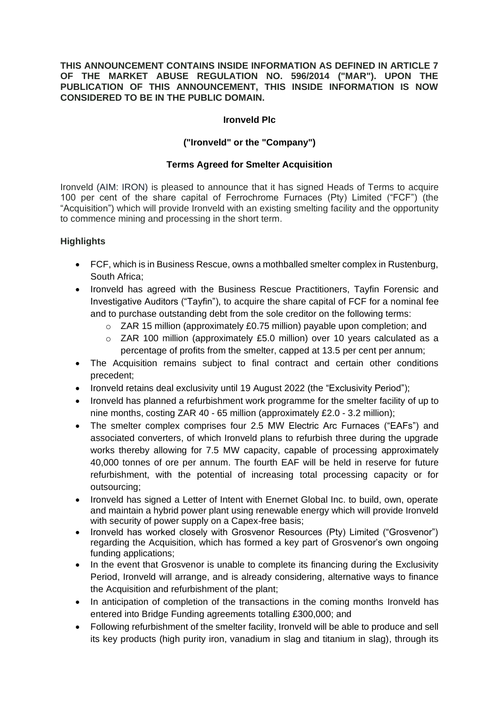#### **THIS ANNOUNCEMENT CONTAINS INSIDE INFORMATION AS DEFINED IN ARTICLE 7 OF THE MARKET ABUSE REGULATION NO. 596/2014 ("MAR"). UPON THE PUBLICATION OF THIS ANNOUNCEMENT, THIS INSIDE INFORMATION IS NOW CONSIDERED TO BE IN THE PUBLIC DOMAIN.**

### **Ironveld Plc**

# **("Ironveld" or the "Company")**

# **Terms Agreed for Smelter Acquisition**

Ironveld (AIM: IRON) is pleased to announce that it has signed Heads of Terms to acquire 100 per cent of the share capital of Ferrochrome Furnaces (Pty) Limited ("FCF") (the "Acquisition") which will provide Ironveld with an existing smelting facility and the opportunity to commence mining and processing in the short term.

# **Highlights**

- FCF, which is in Business Rescue, owns a mothballed smelter complex in Rustenburg, South Africa;
- Ironveld has agreed with the Business Rescue Practitioners, Tayfin Forensic and Investigative Auditors ("Tayfin"), to acquire the share capital of FCF for a nominal fee and to purchase outstanding debt from the sole creditor on the following terms:
	- $\circ$  ZAR 15 million (approximately £0.75 million) payable upon completion; and
	- $\circ$  ZAR 100 million (approximately £5.0 million) over 10 years calculated as a percentage of profits from the smelter, capped at 13.5 per cent per annum;
- The Acquisition remains subject to final contract and certain other conditions precedent;
- Ironveld retains deal exclusivity until 19 August 2022 (the "Exclusivity Period");
- Ironveld has planned a refurbishment work programme for the smelter facility of up to nine months, costing ZAR 40 - 65 million (approximately £2.0 - 3.2 million);
- The smelter complex comprises four 2.5 MW Electric Arc Furnaces ("EAFs") and associated converters, of which Ironveld plans to refurbish three during the upgrade works thereby allowing for 7.5 MW capacity, capable of processing approximately 40,000 tonnes of ore per annum. The fourth EAF will be held in reserve for future refurbishment, with the potential of increasing total processing capacity or for outsourcing;
- Ironveld has signed a Letter of Intent with Enernet Global Inc. to build, own, operate and maintain a hybrid power plant using renewable energy which will provide Ironveld with security of power supply on a Capex-free basis;
- Ironveld has worked closely with Grosvenor Resources (Pty) Limited ("Grosvenor") regarding the Acquisition, which has formed a key part of Grosvenor's own ongoing funding applications;
- In the event that Grosvenor is unable to complete its financing during the Exclusivity Period, Ironveld will arrange, and is already considering, alternative ways to finance the Acquisition and refurbishment of the plant;
- In anticipation of completion of the transactions in the coming months Ironveld has entered into Bridge Funding agreements totalling £300,000; and
- Following refurbishment of the smelter facility, Ironveld will be able to produce and sell its key products (high purity iron, vanadium in slag and titanium in slag), through its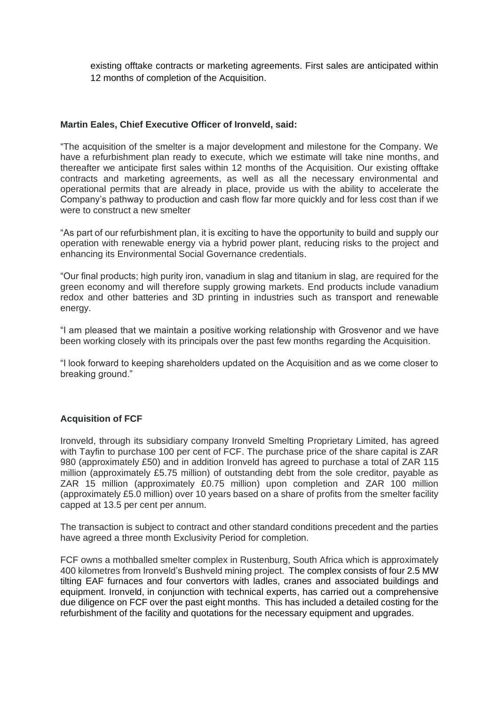existing offtake contracts or marketing agreements. First sales are anticipated within 12 months of completion of the Acquisition.

#### **Martin Eales, Chief Executive Officer of Ironveld, said:**

"The acquisition of the smelter is a major development and milestone for the Company. We have a refurbishment plan ready to execute, which we estimate will take nine months, and thereafter we anticipate first sales within 12 months of the Acquisition. Our existing offtake contracts and marketing agreements, as well as all the necessary environmental and operational permits that are already in place, provide us with the ability to accelerate the Company's pathway to production and cash flow far more quickly and for less cost than if we were to construct a new smelter

"As part of our refurbishment plan, it is exciting to have the opportunity to build and supply our operation with renewable energy via a hybrid power plant, reducing risks to the project and enhancing its Environmental Social Governance credentials.

"Our final products; high purity iron, vanadium in slag and titanium in slag, are required for the green economy and will therefore supply growing markets. End products include vanadium redox and other batteries and 3D printing in industries such as transport and renewable energy.

"I am pleased that we maintain a positive working relationship with Grosvenor and we have been working closely with its principals over the past few months regarding the Acquisition.

"I look forward to keeping shareholders updated on the Acquisition and as we come closer to breaking ground."

### **Acquisition of FCF**

Ironveld, through its subsidiary company Ironveld Smelting Proprietary Limited, has agreed with Tayfin to purchase 100 per cent of FCF. The purchase price of the share capital is ZAR 980 (approximately £50) and in addition Ironveld has agreed to purchase a total of ZAR 115 million (approximately £5.75 million) of outstanding debt from the sole creditor, payable as ZAR 15 million (approximately £0.75 million) upon completion and ZAR 100 million (approximately £5.0 million) over 10 years based on a share of profits from the smelter facility capped at 13.5 per cent per annum.

The transaction is subject to contract and other standard conditions precedent and the parties have agreed a three month Exclusivity Period for completion.

FCF owns a mothballed smelter complex in Rustenburg, South Africa which is approximately 400 kilometres from Ironveld's Bushveld mining project. The complex consists of four 2.5 MW tilting EAF furnaces and four convertors with ladles, cranes and associated buildings and equipment. Ironveld, in conjunction with technical experts, has carried out a comprehensive due diligence on FCF over the past eight months. This has included a detailed costing for the refurbishment of the facility and quotations for the necessary equipment and upgrades.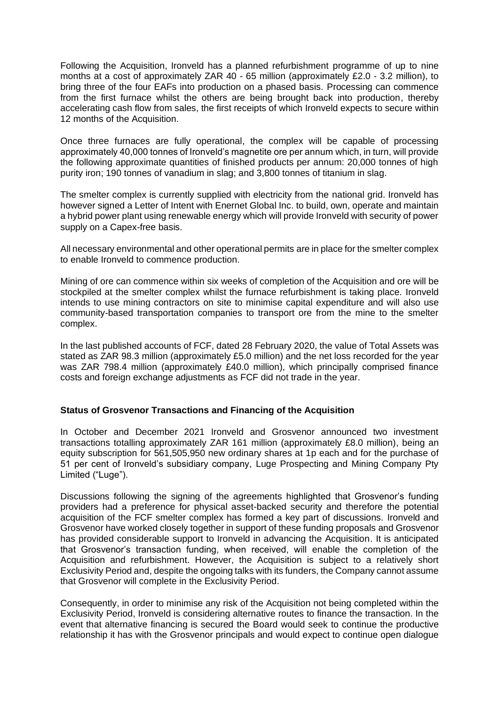Following the Acquisition, Ironveld has a planned refurbishment programme of up to nine months at a cost of approximately ZAR 40 - 65 million (approximately £2.0 - 3.2 million), to bring three of the four EAFs into production on a phased basis. Processing can commence from the first furnace whilst the others are being brought back into production, thereby accelerating cash flow from sales, the first receipts of which Ironveld expects to secure within 12 months of the Acquisition.

Once three furnaces are fully operational, the complex will be capable of processing approximately 40,000 tonnes of Ironveld's magnetite ore per annum which, in turn, will provide the following approximate quantities of finished products per annum: 20,000 tonnes of high purity iron; 190 tonnes of vanadium in slag; and 3,800 tonnes of titanium in slag.

The smelter complex is currently supplied with electricity from the national grid. Ironveld has however signed a Letter of Intent with Enernet Global Inc. to build, own, operate and maintain a hybrid power plant using renewable energy which will provide Ironveld with security of power supply on a Capex-free basis.

All necessary environmental and other operational permits are in place for the smelter complex to enable Ironveld to commence production.

Mining of ore can commence within six weeks of completion of the Acquisition and ore will be stockpiled at the smelter complex whilst the furnace refurbishment is taking place. Ironveld intends to use mining contractors on site to minimise capital expenditure and will also use community-based transportation companies to transport ore from the mine to the smelter complex.

In the last published accounts of FCF, dated 28 February 2020, the value of Total Assets was stated as ZAR 98.3 million (approximately £5.0 million) and the net loss recorded for the year was ZAR 798.4 million (approximately £40.0 million), which principally comprised finance costs and foreign exchange adjustments as FCF did not trade in the year.

### **Status of Grosvenor Transactions and Financing of the Acquisition**

In October and December 2021 Ironveld and Grosvenor announced two investment transactions totalling approximately ZAR 161 million (approximately £8.0 million), being an equity subscription for 561,505,950 new ordinary shares at 1p each and for the purchase of 51 per cent of Ironveld's subsidiary company, Luge Prospecting and Mining Company Pty Limited ("Luge").

Discussions following the signing of the agreements highlighted that Grosvenor's funding providers had a preference for physical asset-backed security and therefore the potential acquisition of the FCF smelter complex has formed a key part of discussions. Ironveld and Grosvenor have worked closely together in support of these funding proposals and Grosvenor has provided considerable support to Ironveld in advancing the Acquisition. It is anticipated that Grosvenor's transaction funding, when received, will enable the completion of the Acquisition and refurbishment. However, the Acquisition is subject to a relatively short Exclusivity Period and, despite the ongoing talks with its funders, the Company cannot assume that Grosvenor will complete in the Exclusivity Period.

Consequently, in order to minimise any risk of the Acquisition not being completed within the Exclusivity Period, Ironveld is considering alternative routes to finance the transaction. In the event that alternative financing is secured the Board would seek to continue the productive relationship it has with the Grosvenor principals and would expect to continue open dialogue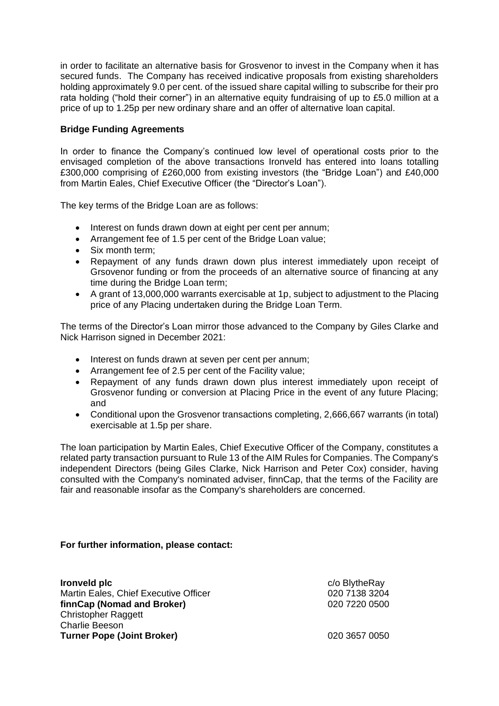in order to facilitate an alternative basis for Grosvenor to invest in the Company when it has secured funds. The Company has received indicative proposals from existing shareholders holding approximately 9.0 per cent. of the issued share capital willing to subscribe for their pro rata holding ("hold their corner") in an alternative equity fundraising of up to £5.0 million at a price of up to 1.25p per new ordinary share and an offer of alternative loan capital.

# **Bridge Funding Agreements**

In order to finance the Company's continued low level of operational costs prior to the envisaged completion of the above transactions Ironveld has entered into loans totalling £300,000 comprising of £260,000 from existing investors (the "Bridge Loan") and £40,000 from Martin Eales, Chief Executive Officer (the "Director's Loan").

The key terms of the Bridge Loan are as follows:

- Interest on funds drawn down at eight per cent per annum;
- Arrangement fee of 1.5 per cent of the Bridge Loan value;
- Six month term:
- Repayment of any funds drawn down plus interest immediately upon receipt of Grsovenor funding or from the proceeds of an alternative source of financing at any time during the Bridge Loan term;
- A grant of 13,000,000 warrants exercisable at 1p, subject to adjustment to the Placing price of any Placing undertaken during the Bridge Loan Term.

The terms of the Director's Loan mirror those advanced to the Company by Giles Clarke and Nick Harrison signed in December 2021:

- Interest on funds drawn at seven per cent per annum;
- Arrangement fee of 2.5 per cent of the Facility value;
- Repayment of any funds drawn down plus interest immediately upon receipt of Grosvenor funding or conversion at Placing Price in the event of any future Placing; and
- Conditional upon the Grosvenor transactions completing, 2,666,667 warrants (in total) exercisable at 1.5p per share.

The loan participation by Martin Eales, Chief Executive Officer of the Company, constitutes a related party transaction pursuant to Rule 13 of the AIM Rules for Companies. The Company's independent Directors (being Giles Clarke, Nick Harrison and Peter Cox) consider, having consulted with the Company's nominated adviser, finnCap, that the terms of the Facility are fair and reasonable insofar as the Company's shareholders are concerned.

### **For further information, please contact:**

| Ironveld plc                          | c/o BlytheRay |
|---------------------------------------|---------------|
| Martin Eales, Chief Executive Officer | 020 7138 3204 |
| finnCap (Nomad and Broker)            | 020 7220 0500 |
| <b>Christopher Raggett</b>            |               |
| <b>Charlie Beeson</b>                 |               |
| <b>Turner Pope (Joint Broker)</b>     | 020 3657 0050 |